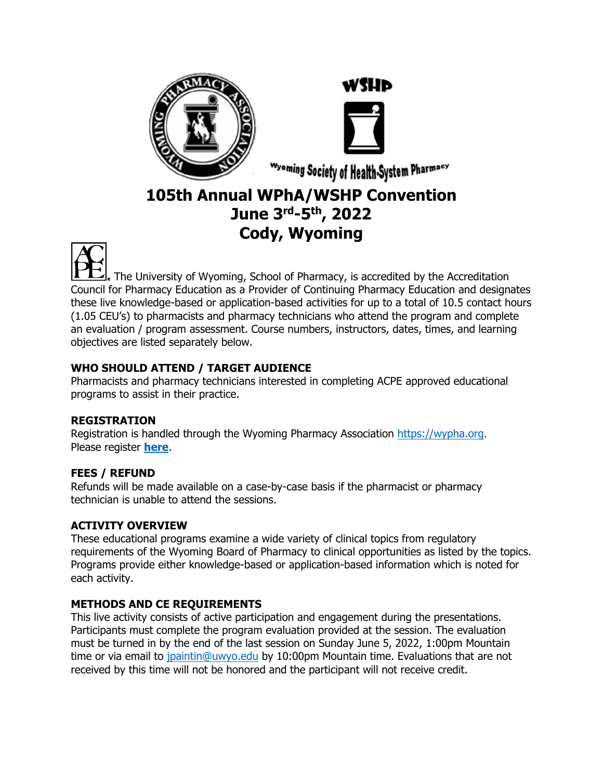



Wyoming Society of Health-System Pharmacy

# **105th Annual WPhA/WSHP Convention June 3rd-5 th, 2022 Cody, Wyoming**



The University of Wyoming, School of Pharmacy, is accredited by the Accreditation Council for Pharmacy Education as a Provider of Continuing Pharmacy Education and designates these live knowledge-based or application-based activities for up to a total of 10.5 contact hours (1.05 CEU's) to pharmacists and pharmacy technicians who attend the program and complete an evaluation / program assessment. Course numbers, instructors, dates, times, and learning objectives are listed separately below.

## **WHO SHOULD ATTEND / TARGET AUDIENCE**

Pharmacists and pharmacy technicians interested in completing ACPE approved educational programs to assist in their practice.

## **REGISTRATION**

Registration is handled through the Wyoming Pharmacy Association [https://wypha.org](about:blank). Please register **[here](https://wypha.org/inspire_events/105th-annual-convention/)**.

# **FEES / REFUND**

Refunds will be made available on a case-by-case basis if the pharmacist or pharmacy technician is unable to attend the sessions.

# **ACTIVITY OVERVIEW**

These educational programs examine a wide variety of clinical topics from regulatory requirements of the Wyoming Board of Pharmacy to clinical opportunities as listed by the topics. Programs provide either knowledge-based or application-based information which is noted for each activity.

# **METHODS AND CE REQUIREMENTS**

This live activity consists of active participation and engagement during the presentations. Participants must complete the program evaluation provided at the session. The evaluation must be turned in by the end of the last session on Sunday June 5, 2022, 1:00pm Mountain time or via email to [jpaintin@uwyo.edu](about:blank) by 10:00pm Mountain time. Evaluations that are not received by this time will not be honored and the participant will not receive credit.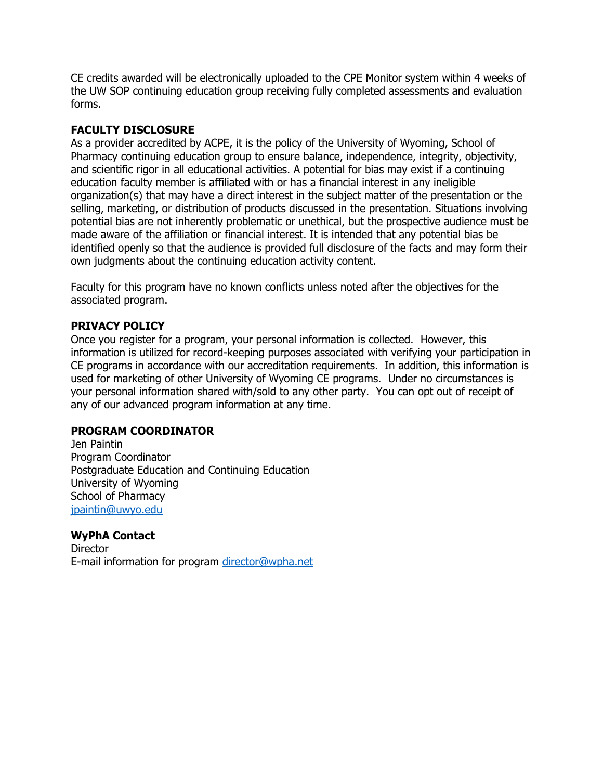CE credits awarded will be electronically uploaded to the CPE Monitor system within 4 weeks of the UW SOP continuing education group receiving fully completed assessments and evaluation forms.

### **FACULTY DISCLOSURE**

As a provider accredited by ACPE, it is the policy of the University of Wyoming, School of Pharmacy continuing education group to ensure balance, independence, integrity, objectivity, and scientific rigor in all educational activities. A potential for bias may exist if a continuing education faculty member is affiliated with or has a financial interest in any ineligible organization(s) that may have a direct interest in the subject matter of the presentation or the selling, marketing, or distribution of products discussed in the presentation. Situations involving potential bias are not inherently problematic or unethical, but the prospective audience must be made aware of the affiliation or financial interest. It is intended that any potential bias be identified openly so that the audience is provided full disclosure of the facts and may form their own judgments about the continuing education activity content.

Faculty for this program have no known conflicts unless noted after the objectives for the associated program.

## **PRIVACY POLICY**

Once you register for a program, your personal information is collected. However, this information is utilized for record-keeping purposes associated with verifying your participation in CE programs in accordance with our accreditation requirements. In addition, this information is used for marketing of other University of Wyoming CE programs. Under no circumstances is your personal information shared with/sold to any other party. You can opt out of receipt of any of our advanced program information at any time.

## **PROGRAM COORDINATOR**

Jen Paintin Program Coordinator Postgraduate Education and Continuing Education University of Wyoming School of Pharmacy [jpaintin@uwyo.edu](about:blank)

## **WyPhA Contact**

**Director** E-mail information for program [director@wpha.net](about:blank)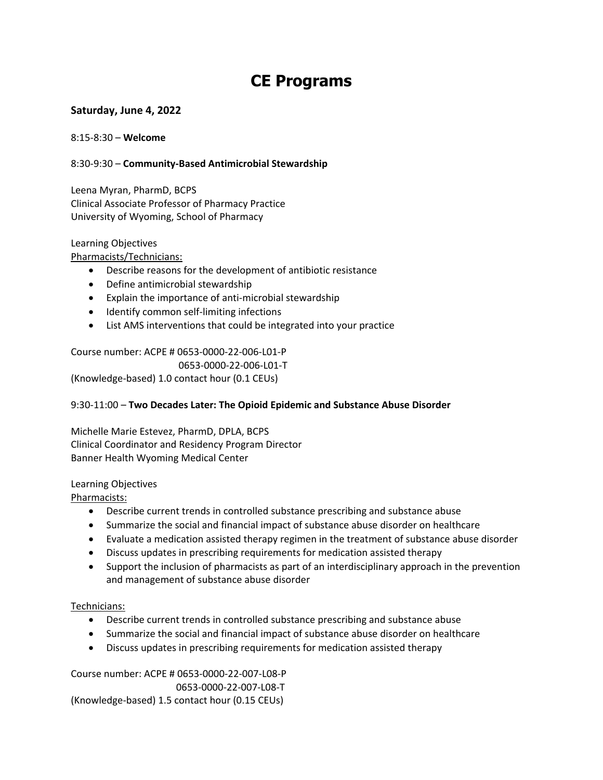# **CE Programs**

### **Saturday, June 4, 2022**

#### 8:15-8:30 – **Welcome**

#### 8:30-9:30 – **Community-Based Antimicrobial Stewardship**

Leena Myran, PharmD, BCPS Clinical Associate Professor of Pharmacy Practice University of Wyoming, School of Pharmacy

#### Learning Objectives

Pharmacists/Technicians:

- Describe reasons for the development of antibiotic resistance
- Define antimicrobial stewardship
- Explain the importance of anti-microbial stewardship
- Identify common self-limiting infections
- List AMS interventions that could be integrated into your practice

Course number: ACPE # 0653-0000-22-006-L01-P 0653-0000-22-006-L01-T (Knowledge-based) 1.0 contact hour (0.1 CEUs)

#### 9:30-11:00 – **Two Decades Later: The Opioid Epidemic and Substance Abuse Disorder**

Michelle Marie Estevez, PharmD, DPLA, BCPS Clinical Coordinator and Residency Program Director Banner Health Wyoming Medical Center

#### Learning Objectives

Pharmacists:

- Describe current trends in controlled substance prescribing and substance abuse
- Summarize the social and financial impact of substance abuse disorder on healthcare
- Evaluate a medication assisted therapy regimen in the treatment of substance abuse disorder
- Discuss updates in prescribing requirements for medication assisted therapy
- Support the inclusion of pharmacists as part of an interdisciplinary approach in the prevention and management of substance abuse disorder

#### Technicians:

- Describe current trends in controlled substance prescribing and substance abuse
- Summarize the social and financial impact of substance abuse disorder on healthcare
- Discuss updates in prescribing requirements for medication assisted therapy

Course number: ACPE # 0653-0000-22-007-L08-P 0653-0000-22-007-L08-T (Knowledge-based) 1.5 contact hour (0.15 CEUs)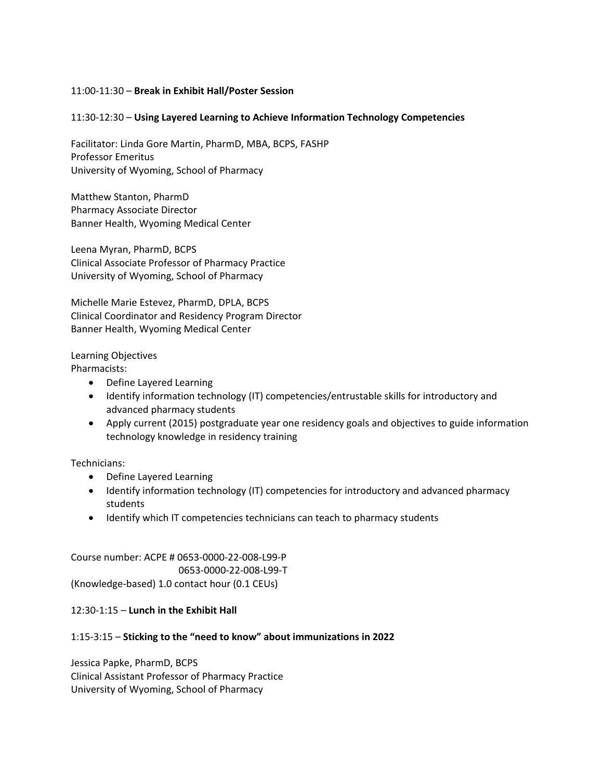#### 11:00-11:30 – **Break in Exhibit Hall/Poster Session**

#### 11:30-12:30 – **Using Layered Learning to Achieve Information Technology Competencies**

Facilitator: Linda Gore Martin, PharmD, MBA, BCPS, FASHP Professor Emeritus University of Wyoming, School of Pharmacy

Matthew Stanton, PharmD Pharmacy Associate Director Banner Health, Wyoming Medical Center

Leena Myran, PharmD, BCPS Clinical Associate Professor of Pharmacy Practice University of Wyoming, School of Pharmacy

Michelle Marie Estevez, PharmD, DPLA, BCPS Clinical Coordinator and Residency Program Director Banner Health, Wyoming Medical Center

Learning Objectives Pharmacists:

- Define Layered Learning
- Identify information technology (IT) competencies/entrustable skills for introductory and advanced pharmacy students
- Apply current (2015) postgraduate year one residency goals and objectives to guide information technology knowledge in residency training

Technicians:

- Define Layered Learning
- Identify information technology (IT) competencies for introductory and advanced pharmacy students
- Identify which IT competencies technicians can teach to pharmacy students

Course number: ACPE # 0653-0000-22-008-L99-P 0653-0000-22-008-L99-T (Knowledge-based) 1.0 contact hour (0.1 CEUs)

#### 12:30-1:15 – **Lunch in the Exhibit Hall**

#### 1:15-3:15 – **Sticking to the "need to know" about immunizations in 2022**

Jessica Papke, PharmD, BCPS Clinical Assistant Professor of Pharmacy Practice University of Wyoming, School of Pharmacy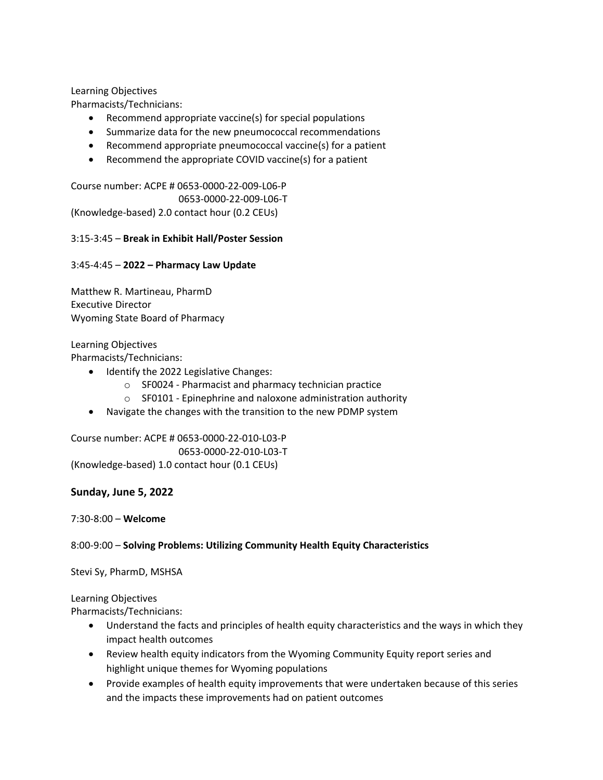#### Learning Objectives

Pharmacists/Technicians:

- Recommend appropriate vaccine(s) for special populations
- Summarize data for the new pneumococcal recommendations
- Recommend appropriate pneumococcal vaccine(s) for a patient
- Recommend the appropriate COVID vaccine(s) for a patient

Course number: ACPE # 0653-0000-22-009-L06-P 0653-0000-22-009-L06-T (Knowledge-based) 2.0 contact hour (0.2 CEUs)

#### 3:15-3:45 – **Break in Exhibit Hall/Poster Session**

#### 3:45-4:45 – **2022 – Pharmacy Law Update**

Matthew R. Martineau, PharmD Executive Director Wyoming State Board of Pharmacy

#### Learning Objectives

Pharmacists/Technicians:

- Identify the 2022 Legislative Changes:
	- o SF0024 Pharmacist and pharmacy technician practice
	- o SF0101 Epinephrine and naloxone administration authority
- Navigate the changes with the transition to the new PDMP system

Course number: ACPE # 0653-0000-22-010-L03-P 0653-0000-22-010-L03-T (Knowledge-based) 1.0 contact hour (0.1 CEUs)

#### **Sunday, June 5, 2022**

7:30-8:00 – **Welcome**

8:00-9:00 – **Solving Problems: Utilizing Community Health Equity Characteristics**

Stevi Sy, PharmD, MSHSA

Learning Objectives

Pharmacists/Technicians:

- Understand the facts and principles of health equity characteristics and the ways in which they impact health outcomes
- Review health equity indicators from the Wyoming Community Equity report series and highlight unique themes for Wyoming populations
- Provide examples of health equity improvements that were undertaken because of this series and the impacts these improvements had on patient outcomes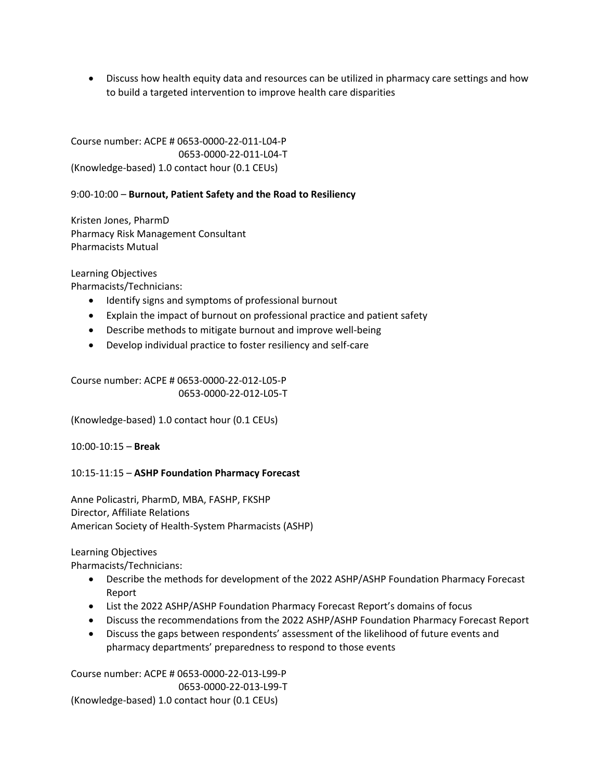• Discuss how health equity data and resources can be utilized in pharmacy care settings and how to build a targeted intervention to improve health care disparities

Course number: ACPE # 0653-0000-22-011-L04-P 0653-0000-22-011-L04-T (Knowledge-based) 1.0 contact hour (0.1 CEUs)

9:00-10:00 – **Burnout, Patient Safety and the Road to Resiliency**

Kristen Jones, PharmD Pharmacy Risk Management Consultant Pharmacists Mutual

Learning Objectives

Pharmacists/Technicians:

- Identify signs and symptoms of professional burnout
- Explain the impact of burnout on professional practice and patient safety
- Describe methods to mitigate burnout and improve well-being
- Develop individual practice to foster resiliency and self-care

Course number: ACPE # 0653-0000-22-012-L05-P 0653-0000-22-012-L05-T

(Knowledge-based) 1.0 contact hour (0.1 CEUs)

10:00-10:15 – **Break**

10:15-11:15 – **ASHP Foundation Pharmacy Forecast**

Anne Policastri, PharmD, MBA, FASHP, FKSHP Director, Affiliate Relations American Society of Health-System Pharmacists (ASHP)

Learning Objectives

Pharmacists/Technicians:

- Describe the methods for development of the 2022 ASHP/ASHP Foundation Pharmacy Forecast Report
- List the 2022 ASHP/ASHP Foundation Pharmacy Forecast Report's domains of focus
- Discuss the recommendations from the 2022 ASHP/ASHP Foundation Pharmacy Forecast Report
- Discuss the gaps between respondents' assessment of the likelihood of future events and pharmacy departments' preparedness to respond to those events

Course number: ACPE # 0653-0000-22-013-L99-P 0653-0000-22-013-L99-T (Knowledge-based) 1.0 contact hour (0.1 CEUs)